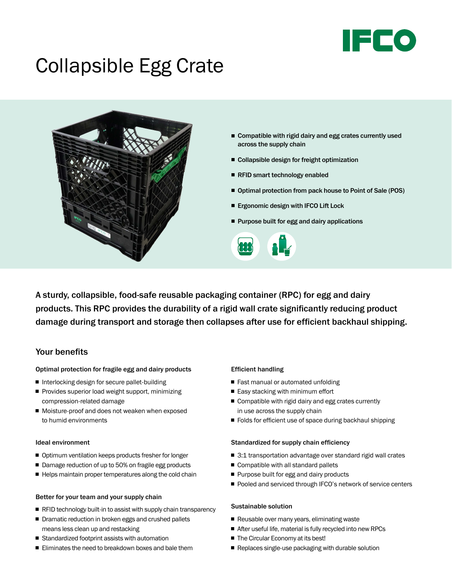

# Collapsible Egg Crate



- $\blacksquare$  Compatible with rigid dairy and egg crates currently used across the supply chain
- Collapsible design for freight optimization
- RFID smart technology enabled
- Optimal protection from pack house to Point of Sale (POS)
- Ergonomic design with IFCO Lift Lock
- Purpose built for egg and dairy applications



A sturdy, collapsible, food-safe reusable packaging container (RPC) for egg and dairy products. This RPC provides the durability of a rigid wall crate significantly reducing product damage during transport and storage then collapses after use for efficient backhaul shipping.

# Your benefits

#### Optimal protection for fragile egg and dairy products

- Interlocking design for secure pallet-building
- Provides superior load weight support, minimizing compression-related damage
- Moisture-proof and does not weaken when exposed to humid environments

### Ideal environment

- Optimum ventilation keeps products fresher for longer
- Damage reduction of up to 50% on fragile egg products
- $\blacksquare$  Helps maintain proper temperatures along the cold chain

#### Better for your team and your supply chain

- $\blacksquare$  RFID technology built-in to assist with supply chain transparency
- Dramatic reduction in broken eggs and crushed pallets means less clean up and restacking
- Standardized footprint assists with automation
- Eliminates the need to breakdown boxes and bale them

#### Efficient handling

- Fast manual or automated unfolding
- $\blacksquare$  Easy stacking with minimum effort
- Compatible with rigid dairy and egg crates currently in use across the supply chain
- $\blacksquare$  Folds for efficient use of space during backhaul shipping

#### Standardized for supply chain efficiency

- $\blacksquare$  3:1 transportation advantage over standard rigid wall crates
- $\blacksquare$  Compatible with all standard pallets
- Purpose built for egg and dairy products
- Pooled and serviced through IFCO's network of service centers

#### Sustainable solution

- Reusable over many years, eliminating waste
- $\blacksquare$  After useful life, material is fully recycled into new RPCs
- The Circular Economy at its best!
- Replaces single-use packaging with durable solution